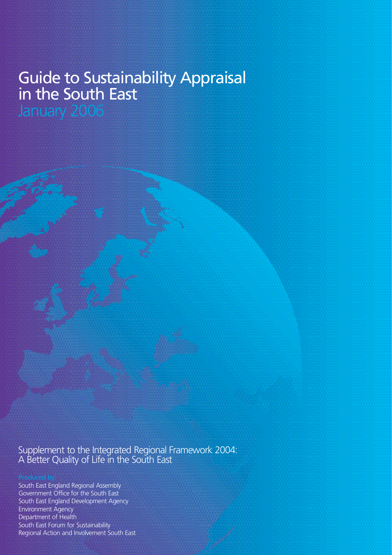# Guide to Sustainability Appraisal in the South East

January 2006

Supplement to the Integrated Regional Framework 2004: A Better Quality of Life in the South East

South East England Regional Assembly Government Office for the South East South East England Development Agency Environment Agency Department of Health South East Forum for Sustainability Regional Action and Involvement South East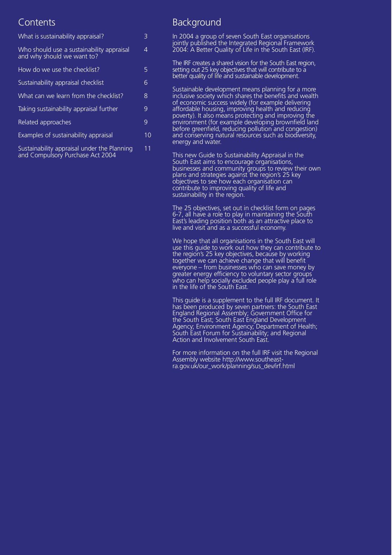### **Contents**

| What is sustainability appraisal?                                       | 3              |
|-------------------------------------------------------------------------|----------------|
| Who should use a sustainability appraisal<br>and why should we want to? | $\overline{4}$ |
| How do we use the checklist?                                            | 5              |
| Sustainability appraisal checklist                                      | 6              |
| What can we learn from the checklist?                                   | 8              |
| Taking sustainability appraisal further                                 | 9              |
| Related approaches                                                      | 9              |
| Examples of sustainability appraisal                                    | 10             |
| Sustainability appraisal under the Planning                             | 11             |

Sustainability appraisal under the Planning and Compulsory Purchase Act 2004

### **Background**

In 2004 a group of seven South East organisations jointly published the Integrated Regional Framework 2004: A Better Quality of Life in the South East (IRF).

The IRF creates a shared vision for the South East region, setting out 25 key objectives that will contribute to a better quality of life and sustainable development.

Sustainable development means planning for a more inclusive society which shares the benefits and wealth of economic success widely (for example delivering affordable housing, improving health and reducing poverty). It also means protecting and improving the environment (for example developing brownfield land before greenfield, reducing pollution and congestion) and conserving natural resources such as biodiversity, energy and water.

This new Guide to Sustainability Appraisal in the South East aims to encourage organisations, businesses and community groups to review their own plans and strategies against the region's 25 key objectives to see how each organisation can contribute to improving quality of life and sustainability in the region.

The 25 objectives, set out in checklist form on pages 6-7, all have a role to play in maintaining the South East's leading position both as an attractive place to live and visit and as a successful economy.

We hope that all organisations in the South East will use this guide to work out how they can contribute to the region's 25 key objectives, because by working together we can achieve change that will benefit everyone – from businesses who can save money by greater energy efficiency to voluntary sector groups who can help socially excluded people play a full role in the life of the South East.

This guide is a supplement to the full IRF document. It has been produced by seven partners: the South East England Regional Assembly; Government Office for the South East; South East England Development Agency; Environment Agency; Department of Health; South East Forum for Sustainability; and Regional Action and Involvement South East.

For more information on the full IRF visit the Regional Assembly website http://www.southeastra.gov.uk/our\_work/planning/sus\_dev/irf.html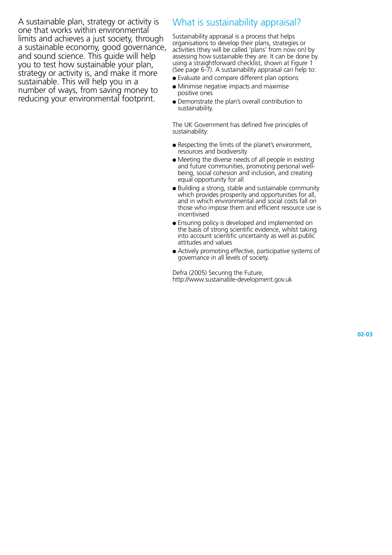A sustainable plan, strategy or activity is one that works within environmental limits and achieves a just society, through a sustainable economy, good governance, and sound science. This guide will help you to test how sustainable your plan, strategy or activity is, and make it more sustainable. This will help you in a number of ways, from saving money to reducing your environmental footprint.

### What is sustainability appraisal?

Sustainability appraisal is a process that helps organisations to develop their plans, strategies or activities (they will be called 'plans' from now on) by assessing how sustainable they are. It can be done by using a straightforward checklist, shown at Figure 1 (See page 6-7). A sustainability appraisal can help to:

- $\bullet$  Evaluate and compare different plan options
- Minimise negative impacts and maximise positive ones
- Demonstrate the plan's overall contribution to s ustaina bility.

The UK Government has defined five principles of s ustai na bility:

- $\bullet$  Respecting the limits of the planet's environment, resources and biodiversity
- Meeting the diverse needs of all people in existing and future communities, promoting personal wellbeing, social cohesion and inclusion, and creating equal opportunity for all
- Building a strong, stable and sustainable community which provides prosperity and opportunities for all, and in which environmental and social costs fall on those who impose them and efficient resource use is *incentivised*
- Ensuring policy is developed and implemented on the basis of strong scientific evidence, whilst taking into account scientific uncertainty as well as public attitudes and values
- Actively promoting effective, participative systems of governance in all levels of society.

Defra (2005) Securing the Future, http://www.sustainable-development.gov.uk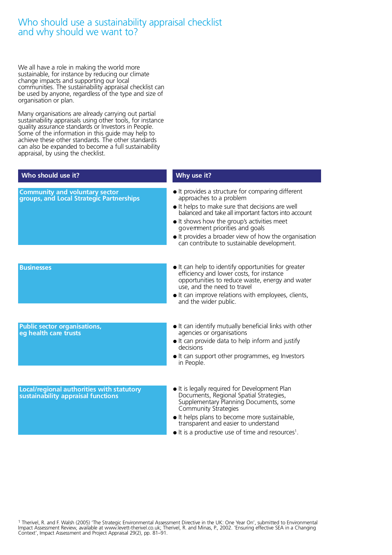### Who should use a sustainability appraisal checklist and why should we want to?

We all have a role in making the world more sustainable, for instance by reducing our climate change impacts and supporting our local communities. The sustainability appraisal checklist can be used by anyone, regardless of the type and size of organisation or plan.

Many organisations are already carrying out partial sustainability appraisals using other tools, for instance quality assurance standards or Investors in People. Some of the information in this guide may help to achieve these other standards. The other standards can also be expanded to become a full sustainability appraisal, by using the checklist.

#### **Who should use it? Why use it?**

**Community and voluntary sector g roups, and Local Strategic Partnerships**

- $\bullet$  It provides a structure for comparing different approaches to a problem
- It helps to make sure that decisions are well balanced and take all important factors into account
- $\bullet$  It shows how the group's activities meet goverment priorities and goals
- $\bullet$  It provides a broader view of how the organisation can contribute to sustainable development.

#### **Businesses**

- $\bullet$  It can help to identify opportunities for greater e fficiency and lower costs, for instance opportunities to reduce waste, energy and water use, and the need to travel
- It can improve relations with employees, clients, and the wider public.

**Public sector organisations, eg health care trusts**

- It can identify mutually beneficial links with other agencies or organisations
- It can provide data to help inform and justify decisions
- It can support other programmes, eg Investors in People.

Local/regional authorities with statutory **sustainability appraisal functions**

- $\bullet$  It is legally required for Development Plan Documents, Regional Spatial Strategies, Supplementary Planning Documents, some Community Strategies
- It helps plans to become more sustainable, transparent and easier to understand
- $\bullet$  It is a productive use of time and resources<sup>1</sup>.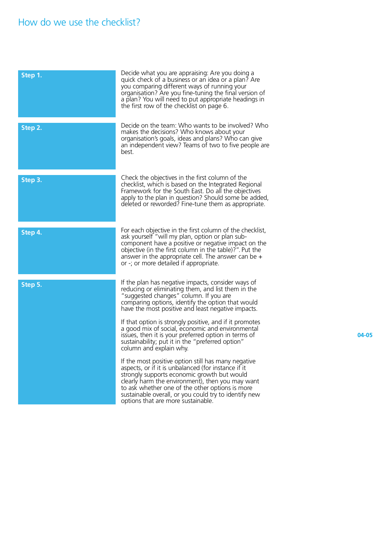## How do we use the checklist?

| Step 1. | Decide what you are appraising: Are you doing a<br>quick check of a business or an idea or a plan? Are<br>you comparing different ways of running your<br>organisation? Are you fine-tuning the final version of<br>a plan? You will need to put appropriate headings in<br>the first row of the checklist on page 6.                                                                                                                          |
|---------|------------------------------------------------------------------------------------------------------------------------------------------------------------------------------------------------------------------------------------------------------------------------------------------------------------------------------------------------------------------------------------------------------------------------------------------------|
| Step 2. | Decide on the team: Who wants to be involved? Who<br>makes the decisions? Who knows about your<br>organisation's goals, ideas and plans? Who can give<br>an independent view? Teams of two to five people are<br>best.                                                                                                                                                                                                                         |
| Step 3. | Check the objectives in the first column of the<br>checklist, which is based on the Integrated Regional<br>Framework for the South East. Do all the objectives<br>apply to the plan in question? Should some be added,<br>deleted or reworded? Fine-tune them as appropriate.                                                                                                                                                                  |
| Step 4. | For each objective in the first column of the checklist,<br>ask yourself "will my plan, option or plan sub-<br>component have a positive or negative impact on the<br>objective (in the first column in the table)?". Put the<br>answer in the appropriate cell. The answer can be $+$<br>or -; or more detailed if appropriate.                                                                                                               |
| Step 5. | If the plan has negative impacts, consider ways of<br>reducing or eliminating them, and list them in the<br>"suggested changes" column. If you are<br>comparing options, identify the option that would<br>have the most positive and least negative impacts.<br>If that option is strongly positive, and if it promotes<br>a good mix of social, economic and environmental<br>issues, then it is your preferred option in terms of           |
|         | sustainability; put it in the "preferred option"<br>column and explain why.<br>If the most positive option still has many negative<br>aspects, or if it is unbalanced (for instance if it<br>strongly supports economic growth but would<br>clearly harm the environment), then you may want<br>to ask whether one of the other options is more<br>sustainable overall, or you could try to identify new<br>options that are more sustainable. |

**04-05**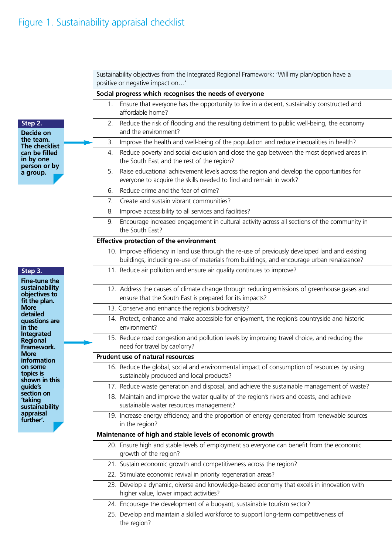## Figure 1. Sustainability appraisal checklist

**Decide on the team. The checklist can be filled in by one person or by a group. Step 2.**

### **Step 3.**

**Fine-tune the** sustainability **objectives to fit the plan. More** detailed **questions are in the Integrated Regional Framework. More information on some topics is shown in this** guide's **section on ' t a k i n g s u s t a i n a b i l i t y a p p r a i s a l** further'.

|    | Sustainability objectives from the Integrated Regional Framework: 'Will my plan/option have a<br>positive or negative impact on'                                                             |
|----|----------------------------------------------------------------------------------------------------------------------------------------------------------------------------------------------|
|    | Social progress which recognises the needs of everyone                                                                                                                                       |
| 1. | Ensure that everyone has the opportunity to live in a decent, sustainably constructed and<br>affordable home?                                                                                |
| 2. | Reduce the risk of flooding and the resulting detriment to public well-being, the economy<br>and the environment?                                                                            |
| 3. | Improve the health and well-being of the population and reduce inequalities in health?                                                                                                       |
| 4. | Reduce poverty and social exclusion and close the gap between the most deprived areas in<br>the South East and the rest of the region?                                                       |
| 5. | Raise educational achievement levels across the region and develop the opportunities for<br>everyone to acquire the skills needed to find and remain in work?                                |
| 6. | Reduce crime and the fear of crime?                                                                                                                                                          |
| 7. | Create and sustain vibrant communities?                                                                                                                                                      |
| 8. | Improve accessibility to all services and facilities?                                                                                                                                        |
| 9. | Encourage increased engagement in cultural activity across all sections of the community in<br>the South East?                                                                               |
|    | <b>Effective protection of the environment</b>                                                                                                                                               |
|    | 10. Improve efficiency in land use through the re-use of previously developed land and existing<br>buildings, including re-use of materials from buildings, and encourage urban renaissance? |
|    | 11. Reduce air pollution and ensure air quality continues to improve?                                                                                                                        |
|    | 12. Address the causes of climate change through reducing emissions of greenhouse gases and<br>ensure that the South East is prepared for its impacts?                                       |
|    | 13. Conserve and enhance the region's biodiversity?                                                                                                                                          |
|    | 14. Protect, enhance and make accessible for enjoyment, the region's countryside and historic<br>environment?                                                                                |
|    | 15. Reduce road congestion and pollution levels by improving travel choice, and reducing the<br>need for travel by car/lorry?                                                                |
|    | <b>Prudent use of natural resources</b>                                                                                                                                                      |
|    | 16. Reduce the global, social and environmental impact of consumption of resources by using<br>sustainably produced and local products?                                                      |
|    | 17. Reduce waste generation and disposal, and achieve the sustainable management of waste?                                                                                                   |
|    | 18. Maintain and improve the water quality of the region's rivers and coasts, and achieve<br>sustainable water resources management?                                                         |
|    | 19. Increase energy efficiency, and the proportion of energy generated from renewable sources<br>in the region?                                                                              |
|    | Maintenance of high and stable levels of economic growth                                                                                                                                     |
|    | 20. Ensure high and stable levels of employment so everyone can benefit from the economic<br>growth of the region?                                                                           |
|    | 21. Sustain economic growth and competitiveness across the region?                                                                                                                           |
|    | 22. Stimulate economic revival in priority regeneration areas?                                                                                                                               |
|    | 23. Develop a dynamic, diverse and knowledge-based economy that excels in innovation with<br>higher value, lower impact activities?                                                          |
|    | 24. Encourage the development of a buoyant, sustainable tourism sector?                                                                                                                      |
|    | 25. Develop and maintain a skilled workforce to support long-term competitiveness of<br>the region?                                                                                          |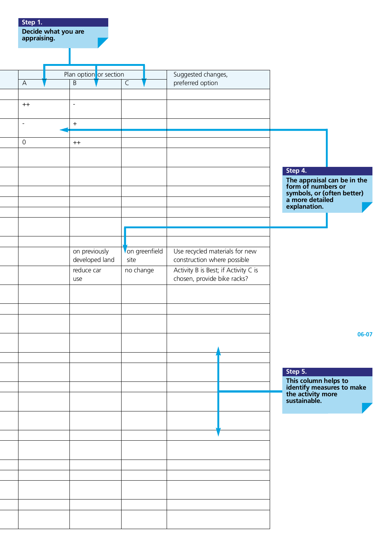|                           | Decide what you are<br>appraising. |                                 |                       |                                                                     |                                                                                                                               |
|---------------------------|------------------------------------|---------------------------------|-----------------------|---------------------------------------------------------------------|-------------------------------------------------------------------------------------------------------------------------------|
|                           |                                    | Plan option or section          |                       | Suggested changes,                                                  |                                                                                                                               |
| $\boldsymbol{\mathsf{A}}$ |                                    | $\sf B$                         | $\overline{C}$        | preferred option                                                    |                                                                                                                               |
| $^{++}$                   |                                    | $\overline{\phantom{a}}$        |                       |                                                                     |                                                                                                                               |
| $\blacksquare$            |                                    | $\boldsymbol{+}$                |                       |                                                                     |                                                                                                                               |
|                           |                                    |                                 |                       |                                                                     |                                                                                                                               |
| $\mathsf{O}\xspace$       |                                    | $^{++}$                         |                       |                                                                     |                                                                                                                               |
|                           |                                    |                                 |                       |                                                                     | Step 4.<br>The appraisal can be in the<br>form of numbers or<br>symbols, or (often better)<br>a more detailed<br>explanation. |
|                           |                                    |                                 |                       |                                                                     |                                                                                                                               |
|                           |                                    | on previously<br>developed land | on greenfield<br>site | Use recycled materials for new<br>construction where possible       |                                                                                                                               |
|                           |                                    | reduce car<br>use               | no change             | Activity B is Best; if Activity C is<br>chosen, provide bike racks? |                                                                                                                               |
|                           |                                    |                                 |                       |                                                                     |                                                                                                                               |
|                           |                                    |                                 |                       |                                                                     |                                                                                                                               |
|                           |                                    |                                 |                       |                                                                     | 06-07                                                                                                                         |
|                           |                                    |                                 |                       |                                                                     | Step 5.                                                                                                                       |
|                           |                                    |                                 |                       |                                                                     |                                                                                                                               |
|                           |                                    |                                 |                       |                                                                     | This column helps to<br>identify measures to make<br>the activity more<br>sustainable.                                        |
|                           |                                    |                                 |                       |                                                                     |                                                                                                                               |
|                           |                                    |                                 |                       |                                                                     |                                                                                                                               |
|                           |                                    |                                 |                       |                                                                     |                                                                                                                               |
|                           |                                    |                                 |                       |                                                                     |                                                                                                                               |
|                           |                                    |                                 |                       |                                                                     |                                                                                                                               |
|                           |                                    |                                 |                       |                                                                     |                                                                                                                               |
|                           |                                    |                                 |                       |                                                                     |                                                                                                                               |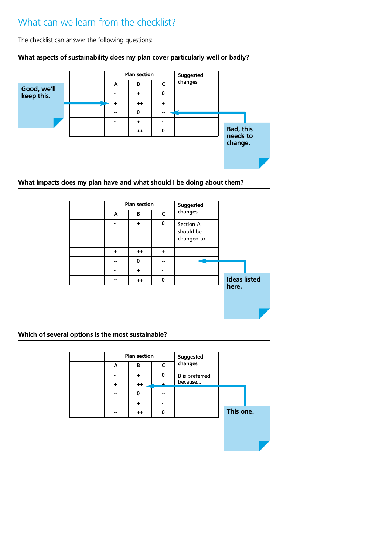### What can we learn from the checklist?

The checklist can answer the following questions:

#### **Plan section A B C - + 0 + + + + - - 0 - - - + - - - + + 0 Suggested c h a n g e s Bad, this needs to** change. **Good, we'll keep this.**

### **What aspects of sustainability does my plan cover particularly well or badly?**

**What impacts does my plan have and what should I be doing about them?**



**Which of several options is the most sustainable?**

|    | <b>Plan section</b> |            | Suggested             |           |
|----|---------------------|------------|-----------------------|-----------|
| A  | В                   | $\epsilon$ | changes               |           |
|    | +                   | 0          | <b>B</b> is preferred |           |
| ÷  | $++$                |            | because               |           |
| -- | 0                   |            |                       |           |
|    | +                   |            |                       |           |
| -- | $++$                | $\Omega$   |                       | This one. |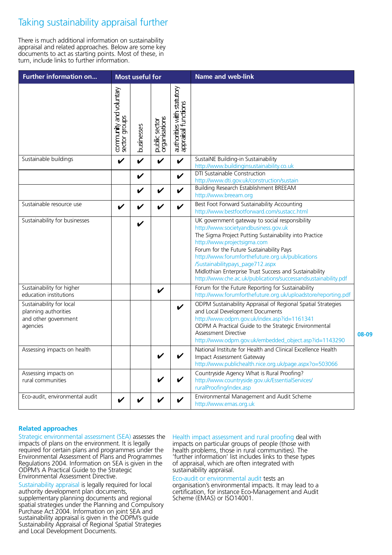### Taking sustainability appraisal further

There is much additional information on sustainability appraisal and related approaches. Below are some key documents to act as starting points. Most of these, in turn, include links to further information.

| <b>Further information on</b>                                                       | Most useful for                          |                    | <b>Name and web-link</b>       |                                                   |                                                                                                                                                                                                                                                                                                                                                                                                                                                 |       |
|-------------------------------------------------------------------------------------|------------------------------------------|--------------------|--------------------------------|---------------------------------------------------|-------------------------------------------------------------------------------------------------------------------------------------------------------------------------------------------------------------------------------------------------------------------------------------------------------------------------------------------------------------------------------------------------------------------------------------------------|-------|
|                                                                                     | community and voluntary<br>sector groups | businesses         | public sector<br>organisations | authorities with statutory<br>appraisal functions |                                                                                                                                                                                                                                                                                                                                                                                                                                                 |       |
| Sustainable buildings                                                               | V                                        | $\boldsymbol{\nu}$ | $\boldsymbol{\nu}$             | V                                                 | SustaiNE Building-in Sustainability<br>http://www.buildinginsustainability.co.uk                                                                                                                                                                                                                                                                                                                                                                |       |
|                                                                                     |                                          | V                  |                                | V                                                 | DTI Sustainable Construction<br>http://www.dti.gov.uk/construction/sustain                                                                                                                                                                                                                                                                                                                                                                      |       |
|                                                                                     |                                          | V                  | V                              | V                                                 | <b>Building Research Establishment BREEAM</b><br>http://www.breeam.org                                                                                                                                                                                                                                                                                                                                                                          |       |
| Sustainable resource use                                                            | V                                        | V                  | V                              | V                                                 | Best Foot Forward Sustainability Accounting<br>http://www.bestfootforward.com/sustacc.html                                                                                                                                                                                                                                                                                                                                                      |       |
| Sustainability for businesses                                                       |                                          | V                  |                                |                                                   | UK government gateway to social responsibility<br>http://www.societyandbusiness.gov.uk<br>The Sigma Project Putting Sustainability into Practice<br>http://www.projectsigma.com<br>Forum for the Future Sustainability Pays<br>http://www.forumforthefuture.org.uk/publications<br>/Sustainabilitypays_page712.aspx<br>Midlothian Enterprise Trust Success and Sustainability<br>http://www.che.ac.uk/publications/successandsustainability.pdf |       |
| Sustainability for higher<br>education institutions                                 |                                          |                    | $\checkmark$                   |                                                   | Forum for the Future Reporting for Sustainability<br>http://www.forumforthefuture.org.uk/uploadstore/reporting.pdf                                                                                                                                                                                                                                                                                                                              |       |
| Sustainability for local<br>planning authorities<br>and other govemment<br>agencies |                                          |                    |                                | $\checkmark$                                      | ODPM Sustainability Appraisal of Regional Spatial Strategies<br>and Local Development Documents<br>http://www.odpm.gov.uk/index.asp?id=1161341<br>ODPM A Practical Guide to the Strategic Environmental<br>Assessment Directive<br>http://www.odpm.gov.uk/embedded_object.asp?id=1143290                                                                                                                                                        | 08-09 |
| Assessing impacts on health                                                         |                                          |                    | V                              | V                                                 | National Institute for Health and Clinical Excellence Health<br>Impact Assessment Gateway<br>http://www.publichealth.nice.org.uk/page.aspx?o=503066                                                                                                                                                                                                                                                                                             |       |
| Assessing impacts on<br>rural communities                                           |                                          |                    | V                              | V                                                 | Countryside Agency What is Rural Proofing?<br>http://www.countryside.gov.uk/EssentialServices/<br>ruralProofing/index.asp                                                                                                                                                                                                                                                                                                                       |       |
| Eco-audit, environmental audit                                                      | V                                        |                    |                                | $\checkmark$                                      | Environmental Management and Audit Scheme<br>http://www.emas.org.uk                                                                                                                                                                                                                                                                                                                                                                             |       |

#### **Related approaches**

Strategic environmental assessment (SEA) assesses the impacts of plans on the environment. It is legally required for certain plans and programmes under the Environmental Assessment of Plans and Programmes Regulations 2004. Information on SEA is given in the ODPM's A Practical Guide to the Strategic Environmental Assessment Directive.

Sustainability appraisal is legally required for local authority development plan documents, supplementary planning documents and regional spatial strategies under the Planning and Compulsory Purchase Act 2004. Information on joint SEA and sustainability appraisal is given in the ODPM's guide Sustainability Appraisal of Regional Spatial Strategies and Local Development Documents.

Health impact assessment and rural proofing deal with impacts on particular groups of people (those with health problems, those in rural communities). The 'further information' list includes links to these types of appraisal, which are often integrated with sustainability appraisal.

Eco-audit or environmental audit tests an

organisation's environmental impacts. It may lead to a certification, for instance Eco-Management and Audit Scheme (EMAS) or ISO14001.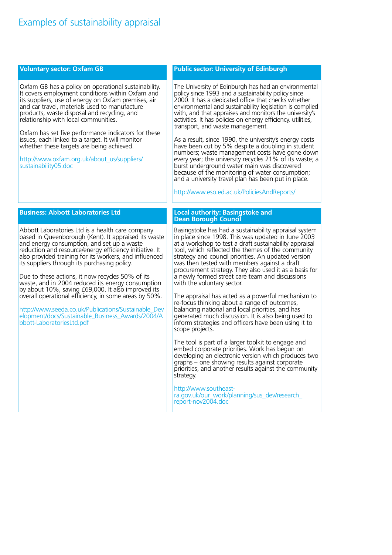| <b>Voluntary sector: Oxfam GB</b>                                                                                                                                                                                                                                                                                                                                                                                                                                                                                                                                                                                                                                                           | <b>Public sector: University of Edinburgh</b>                                                                                                                                                                                                                                                                                                                                                                                                                                                                                                                                                                                                                                                                                                                                                                                                                                                                                                                                                                                                                                                                                                                  |
|---------------------------------------------------------------------------------------------------------------------------------------------------------------------------------------------------------------------------------------------------------------------------------------------------------------------------------------------------------------------------------------------------------------------------------------------------------------------------------------------------------------------------------------------------------------------------------------------------------------------------------------------------------------------------------------------|----------------------------------------------------------------------------------------------------------------------------------------------------------------------------------------------------------------------------------------------------------------------------------------------------------------------------------------------------------------------------------------------------------------------------------------------------------------------------------------------------------------------------------------------------------------------------------------------------------------------------------------------------------------------------------------------------------------------------------------------------------------------------------------------------------------------------------------------------------------------------------------------------------------------------------------------------------------------------------------------------------------------------------------------------------------------------------------------------------------------------------------------------------------|
| Oxfam GB has a policy on operational sustainability.<br>It covers employment conditions within Oxfam and<br>its suppliers, use of energy on Oxfam premises, air<br>and car travel, materials used to manufacture<br>products, waste disposal and recycling, and<br>relationship with local communities.<br>Oxfam has set five performance indicators for these<br>issues, each linked to a target. It will monitor<br>whether these targets are being achieved.<br>http://www.oxfam.org.uk/about_us/suppliers/<br>sustainability05.doc                                                                                                                                                      | The University of Edinburgh has had an environmental<br>policy since 1993 and a sustainability policy since<br>2000. It has a dedicated office that checks whether<br>environmental and sustainability legislation is complied<br>with, and that appraises and monitors the university's<br>activities. It has policies on energy efficiency, utilities,<br>transport, and waste management.<br>As a result, since 1990, the university's energy costs<br>have been cut by 5% despite a doubling in student<br>numbers; waste management costs have gone down<br>every year; the university recycles 21% of its waste; a<br>burst underground water main was discovered<br>because of the monitoring of water consumption;<br>and a university travel plan has been put in place.<br>http://www.eso.ed.ac.uk/PoliciesAndReports/                                                                                                                                                                                                                                                                                                                               |
| <b>Business: Abbott Laboratories Ltd</b>                                                                                                                                                                                                                                                                                                                                                                                                                                                                                                                                                                                                                                                    | <b>Local authority: Basingstoke and</b><br><b>Dean Borough Council</b>                                                                                                                                                                                                                                                                                                                                                                                                                                                                                                                                                                                                                                                                                                                                                                                                                                                                                                                                                                                                                                                                                         |
| Abbott Laboratories Ltd is a health care company<br>based in Queenborough (Kent). It appraised its waste<br>and energy consumption, and set up a waste<br>reduction and resource/energy efficiency initiative. It<br>also provided training for its workers, and influenced<br>its suppliers through its purchasing policy.<br>Due to these actions, it now recycles 50% of its<br>waste, and in 2004 reduced its energy consumption<br>by about 10%, saving £69,000. It also improved its<br>overall operational efficiency, in some areas by 50%.<br>http://www.seeda.co.uk/Publications/Sustainable_Dev<br>elopment/docs/Sustainable_Business_Awards/2004/A<br>bbott-LaboratoriesLtd.pdf | Basingstoke has had a sustainability appraisal system<br>in place since 1998. This was updated in June 2003<br>at a workshop to test a draft sustainability appraisal<br>tool, which reflected the themes of the community<br>strategy and council priorities. An updated version<br>was then tested with members against a draft<br>procurement strategy. They also used it as a basis for<br>a newly formed street care team and discussions<br>with the voluntary sector.<br>The appraisal has acted as a powerful mechanism to<br>re-focus thinking about a range of outcomes,<br>balancing national and local priorities, and has<br>generated much discussion. It is also being used to<br>inform strategies and officers have been using it to<br>scope projects.<br>The tool is part of a larger toolkit to engage and<br>embed corporate priorities. Work has begun on<br>developing an electronic version which produces two<br>graphs - one showing results against corporate<br>priorities, and another results against the community<br>strategy.<br>http://www.southeast-<br>ra.gov.uk/our_work/planning/sus_dev/research_<br>report-nov2004.doc |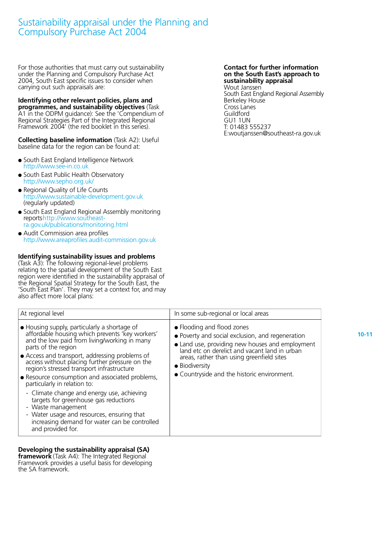### Sustainability appraisal under the Planning and Compulsory Purchase Act 2004

For those authorities that must carry out sustainability under the Planning and Compulsory Purchase Act 2004, South East specific issues to consider when carrying out such appraisals are:

#### **Identifying other relevant policies, plans and programmes, and sustainability objectives** (Task A1 in the ODPM guidance): See the 'Compendium of Regional Strategies Part of the Integrated Regional Framework 2004' (the red booklet in this series).

#### **Collecting baseline information** (Task A2): Useful baseline data for the region can be found at:

- South East England Intelligence Network http://www.see-in.co.uk
- South East Public Health Observatory http://www.sepho.org.uk/
- Regional Quality of Life Counts http://www.sustainable-development.gov.uk ( regularly updated)
- South East England Regional Assembly monitoring reports http://www.southeastra.gov.uk/publications/monitoring.html
- $\bullet$  Audit Commission area profiles http://www.areaprofiles.audit-commission.gov.uk

### **Identifying sustainability issues and problems**

 $(Task A3)$ : The following regional-level problems relating to the spatial development of the South East region were identified in the sustainability appraisal of<br>the Regional Spatial Strategy for the South East, the 'South East Plan'. They may set a context for, and may also affect more local plans:

#### **Contact for further information on the South East's approach to sustainability appraisal** Wout Janssen

South East England Regional Assembly Berkeley House C ross Lanes Guildford GU1 1UN T: 01483 555237 E:woutjanssen@southeast-ra.gov.uk

| At regional level<br>In some sub-regional or local areas                                                                                                                                                                                                                                                                                                                                                                                                                                                                                                                                                                                     |                                                                                                                                                                                                                                                                                                  |
|----------------------------------------------------------------------------------------------------------------------------------------------------------------------------------------------------------------------------------------------------------------------------------------------------------------------------------------------------------------------------------------------------------------------------------------------------------------------------------------------------------------------------------------------------------------------------------------------------------------------------------------------|--------------------------------------------------------------------------------------------------------------------------------------------------------------------------------------------------------------------------------------------------------------------------------------------------|
| • Housing supply, particularly a shortage of<br>affordable housing which prevents 'key workers'<br>and the low paid from living/working in many<br>parts of the region<br>• Access and transport, addressing problems of<br>access without placing further pressure on the<br>region's stressed transport infrastructure<br>• Resource consumption and associated problems,<br>particularly in relation to:<br>- Climate change and energy use, achieving<br>targets for greenhouse gas reductions<br>- Waste management<br>- Water usage and resources, ensuring that<br>increasing demand for water can be controlled<br>and provided for. | • Flooding and flood zones<br>• Poverty and social exclusion, and regeneration<br>• Land use, providing new houses and employment<br>land etc on derelict and vacant land in urban<br>areas, rather than using greenfield sites<br>• Biodiversity<br>• Countryside and the historic environment. |

#### **Developing the sustainability appraisal (SA) framework** (Task A4): The Integrated Regional

Framework provides a useful basis for developing the SA framework.

**10-11**